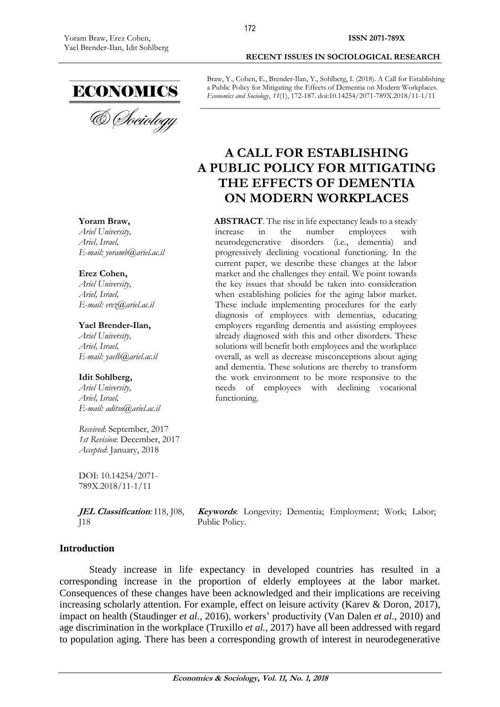

& *Cheiology* 

# **Yoram Braw,**

*Ariel University, Ariel, Israel, E-mail: yoramb@ariel.ac.il* 

#### **Erez Cohen,**

*Ariel University, Ariel, Israel, E-mail: [erez@ariel.ac.il](https://owa.ariel.ac.il/owa/redir.aspx?SURL=yucuEdUg95ilBIj4RF58Fb6-rr-xMps8CFKnchGoXOe9e0CkoS3UCG0AYQBpAGwAdABvADoAZQByAGUAegBAAGEAcgBpAGUAbAAuAGEAYwAuAGkAbAA.&URL=mailto%3aerez%40ariel.ac.il)*

#### **Yael Brender-Ilan,**

*Ariel University, Ariel, Israel, E-mail: yaelb@ariel.ac.il*

#### **Idit Sohlberg,**

*Ariel University, Ariel, Israel, E-mail: aditso@ariel.ac.il*

*Received*: September, 2017 *1st Revision*: December, 2017 *Accepted*: January, 2018

DOI: 10.14254/2071- 789X.2018/11-1/11

**JEL Classification***:* I18, J08, J18

**Keywords**: Longevity; Dementia; Employment; Work; Labor; Public Policy.

#### **Introduction**

Steady increase in life expectancy in developed countries has resulted in a corresponding increase in the proportion of elderly employees at the labor market. Consequences of these changes have been acknowledged and their implications are receiving increasing scholarly attention. For example, effect on leisure activity (Karev & Doron, 2017), impact on health (Staudinger *et al.*, 2016), workers' productivity (Van Dalen *et al.*, 2010) and age discrimination in the workplace (Truxillo *et al.*, 2017) have all been addressed with regard to population aging. There has been a corresponding growth of interest in neurodegenerative

**RECENT ISSUES IN SOCIOLOGICAL RESEARCH**

Braw, Y., Cohen, E., Brender-Ilan, Y., Sohlberg, I. (2018). A Call for Establishing a Public Policy for Mitigating the Effects of Dementia on Modern Workplaces. *Economics and Sociology*, *11*(1), 172-187. doi:10.14254/2071-789X.2018/11-1/11

# **A CALL FOR ESTABLISHING A PUBLIC POLICY FOR MITIGATING THE EFFECTS OF DEMENTIA ON MODERN WORKPLACES**

**ABSTRACT**. The rise in life expectancy leads to a steady increase in the number employees with neurodegenerative disorders (i.e., dementia) and progressively declining vocational functioning. In the current paper, we describe these changes at the labor market and the challenges they entail. We point towards the key issues that should be taken into consideration when establishing policies for the aging labor market. These include implementing procedures for the early diagnosis of employees with dementias, educating employers regarding dementia and assisting employees already diagnosed with this and other disorders. These solutions will benefit both employees and the workplace overall, as well as decrease misconceptions about aging and dementia. These solutions are thereby to transform the work environment to be more responsive to the needs of employees with declining vocational functioning.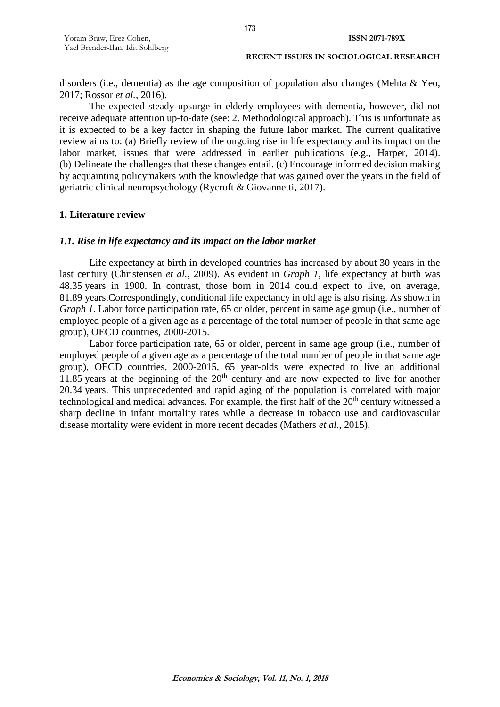| Yoram Braw, Erez Cohen,          | <b>ISSN 2071-789X</b>                         |
|----------------------------------|-----------------------------------------------|
| Yael Brender-Ilan, Idit Sohlberg |                                               |
|                                  | <b>RECENT ISSUES IN SOCIOLOGICAL RESEARCH</b> |

173

disorders (i.e., dementia) as the age composition of population also changes (Mehta & Yeo, 2017; Rossor *et al.*, 2016).

The expected steady upsurge in elderly employees with dementia, however, did not receive adequate attention up-to-date (see: 2. Methodological approach). This is unfortunate as it is expected to be a key factor in shaping the future labor market. The current qualitative review aims to: (a) Briefly review of the ongoing rise in life expectancy and its impact on the labor market, issues that were addressed in earlier publications (e.g., Harper, 2014). (b) Delineate the challenges that these changes entail. (c) Encourage informed decision making by acquainting policymakers with the knowledge that was gained over the years in the field of geriatric clinical neuropsychology (Rycroft & Giovannetti, 2017).

# **1. Literature review**

# *1.1. Rise in life expectancy and its impact on the labor market*

Life expectancy at birth in developed countries has increased by about 30 years in the last century (Christensen *et al.*, 2009). As evident in *Graph 1*, life expectancy at birth was 48.35 years in 1900. In contrast, those born in 2014 could expect to live, on average, 81.89 years.Correspondingly, conditional life expectancy in old age is also rising. As shown in *Graph 1*. Labor force participation rate, 65 or older, percent in same age group (i.e., number of employed people of a given age as a percentage of the total number of people in that same age group), OECD countries, 2000-2015.

Labor force participation rate, 65 or older, percent in same age group (i.e., number of employed people of a given age as a percentage of the total number of people in that same age group), OECD countries, 2000-2015, 65 year-olds were expected to live an additional  $11.85$  years at the beginning of the  $20<sup>th</sup>$  century and are now expected to live for another 20.34 years. This unprecedented and rapid aging of the population is correlated with major technological and medical advances. For example, the first half of the 20<sup>th</sup> century witnessed a sharp decline in infant mortality rates while a decrease in tobacco use and cardiovascular disease mortality were evident in more recent decades (Mathers *et al.*, 2015).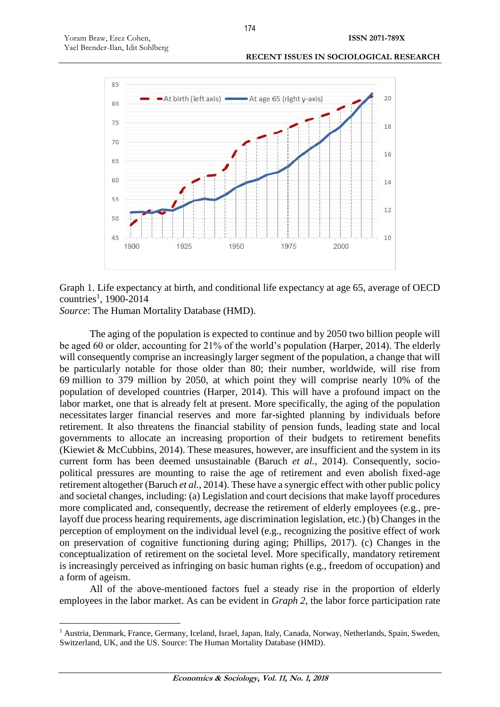



Graph 1. Life expectancy at birth, and conditional life expectancy at age 65, average of OECD countries<sup>1</sup>, 1900-2014

*Source*: The Human Mortality Database (HMD).

 $\overline{a}$ 

The aging of the population is expected to continue and by 2050 two billion people will be aged 60 or older, accounting for 21% of the world's population (Harper, 2014). The elderly will consequently comprise an increasingly larger segment of the population, a change that will be particularly notable for those older than 80; their number, worldwide, will rise from 69 million to 379 million by 2050, at which point they will comprise nearly 10% of the population of developed countries (Harper, 2014). This will have a profound impact on the labor market, one that is already felt at present. More specifically, the aging of the population necessitates larger financial reserves and more far-sighted planning by individuals before retirement. It also threatens the financial stability of pension funds, leading state and local governments to allocate an increasing proportion of their budgets to retirement benefits (Kiewiet  $&$  McCubbins, 2014). These measures, however, are insufficient and the system in its current form has been deemed unsustainable (Baruch *et al.*, 2014). Consequently, sociopolitical pressures are mounting to raise the age of retirement and even abolish fixed-age retirement altogether (Baruch *et al.*, 2014). These have a synergic effect with other public policy and societal changes, including: (a) Legislation and court decisions that make layoff procedures more complicated and, consequently, decrease the retirement of elderly employees (e.g., prelayoff due process hearing requirements, age discrimination legislation, etc.) (b) Changes in the perception of employment on the individual level (e.g., recognizing the positive effect of work on preservation of cognitive functioning during aging; Phillips, 2017). (c) Changes in the conceptualization of retirement on the societal level. More specifically, mandatory retirement is increasingly perceived as infringing on basic human rights (e.g., freedom of occupation) and a form of ageism.

All of the above-mentioned factors fuel a steady rise in the proportion of elderly employees in the labor market. As can be evident in *Graph 2*, the labor force participation rate

<sup>1</sup> Austria, Denmark, France, Germany, Iceland, Israel, Japan, Italy, Canada, Norway, Netherlands, Spain, Sweden, Switzerland, UK, and the US. Source: The Human Mortality Database (HMD).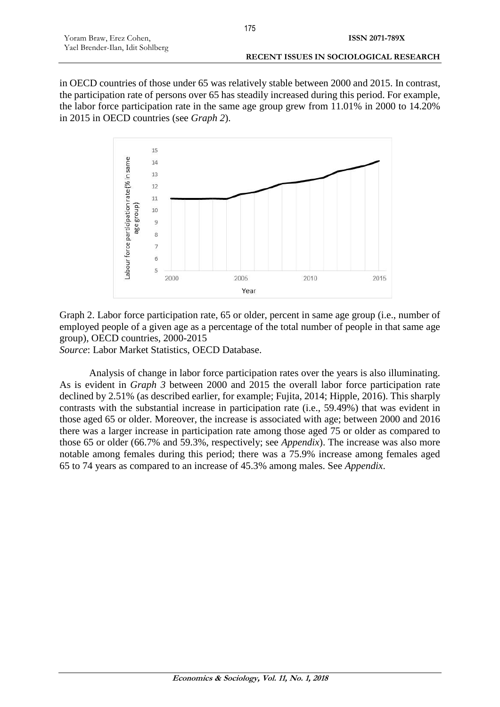in OECD countries of those under 65 was relatively stable between 2000 and 2015. In contrast, the participation rate of persons over 65 has steadily increased during this period. For example, the labor force participation rate in the same age group grew from 11.01% in 2000 to 14.20% in 2015 in OECD countries (see *Graph 2*).



Graph 2. Labor force participation rate, 65 or older, percent in same age group (i.e., number of employed people of a given age as a percentage of the total number of people in that same age group), OECD countries, 2000-2015

*Source*: Labor Market Statistics, OECD Database.

Analysis of change in labor force participation rates over the years is also illuminating. As is evident in *Graph 3* between 2000 and 2015 the overall labor force participation rate declined by 2.51% (as described earlier, for example; Fujita, 2014; Hipple, 2016). This sharply contrasts with the substantial increase in participation rate (i.e., 59.49%) that was evident in those aged 65 or older. Moreover, the increase is associated with age; between 2000 and 2016 there was a larger increase in participation rate among those aged 75 or older as compared to those 65 or older (66.7% and 59.3%, respectively; see *Appendix*). The increase was also more notable among females during this period; there was a 75.9% increase among females aged 65 to 74 years as compared to an increase of 45.3% among males. See *Appendix*.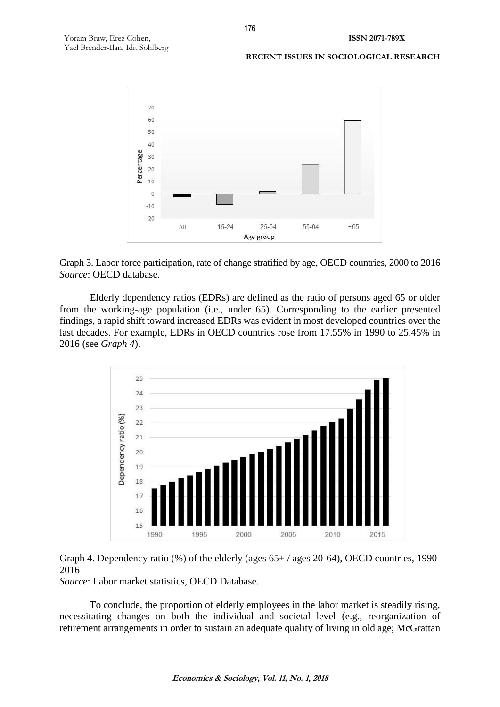#### **RECENT ISSUES IN SOCIOLOGICAL RESEARCH**



Graph 3. Labor force participation, rate of change stratified by age, OECD countries, 2000 to 2016 *Source*: OECD database.

Elderly dependency ratios (EDRs) are defined as the ratio of persons aged 65 or older from the working-age population (i.e., under 65). Corresponding to the earlier presented findings, a rapid shift toward increased EDRs was evident in most developed countries over the last decades. For example, EDRs in OECD countries rose from 17.55% in 1990 to 25.45% in 2016 (see *Graph 4*).



# Graph 4. Dependency ratio (%) of the elderly (ages 65+ / ages 20-64), OECD countries, 1990- 2016

*Source*: Labor market statistics, OECD Database.

To conclude, the proportion of elderly employees in the labor market is steadily rising, necessitating changes on both the individual and societal level (e.g., reorganization of retirement arrangements in order to sustain an adequate quality of living in old age; McGrattan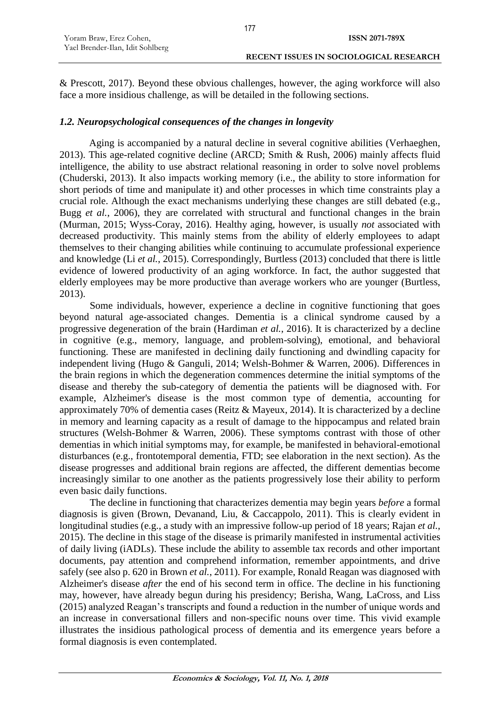| Yoram Braw, Erez Cohen,          | ISSN 2071-789X                         |
|----------------------------------|----------------------------------------|
| Yael Brender-Ilan, Idit Sohlberg |                                        |
|                                  | RECENT ISSUES IN SOCIOLOGICAL RESEARCH |

177

& Prescott, 2017). Beyond these obvious challenges, however, the aging workforce will also face a more insidious challenge, as will be detailed in the following sections.

# *1.2. Neuropsychological consequences of the changes in longevity*

Aging is accompanied by a natural decline in several cognitive abilities (Verhaeghen, 2013). This age-related cognitive decline (ARCD; Smith & Rush, 2006) mainly affects fluid intelligence, the ability to use abstract relational reasoning in order to solve novel problems (Chuderski, 2013). It also impacts working memory (i.e., the ability to store information for short periods of time and manipulate it) and other processes in which time constraints play a crucial role. Although the exact mechanisms underlying these changes are still debated (e.g., Bugg *et al.*, 2006), they are correlated with structural and functional changes in the brain (Murman, 2015; Wyss-Coray, 2016). Healthy aging, however, is usually *not* associated with decreased productivity. This mainly stems from the ability of elderly employees to adapt themselves to their changing abilities while continuing to accumulate professional experience and knowledge (Li *et al.*, 2015). Correspondingly, Burtless (2013) concluded that there is little evidence of lowered productivity of an aging workforce. In fact, the author suggested that elderly employees may be more productive than average workers who are younger (Burtless, 2013).

Some individuals, however, experience a decline in cognitive functioning that goes beyond natural age-associated changes. Dementia is a clinical syndrome caused by a progressive degeneration of the brain (Hardiman *et al.*, 2016). It is characterized by a decline in cognitive (e.g., memory, language, and problem-solving), emotional, and behavioral functioning. These are manifested in declining daily functioning and dwindling capacity for independent living (Hugo & Ganguli, 2014; Welsh-Bohmer & Warren, 2006). Differences in the brain regions in which the degeneration commences determine the initial symptoms of the disease and thereby the sub-category of dementia the patients will be diagnosed with. For example, Alzheimer's disease is the most common type of dementia, accounting for approximately 70% of dementia cases (Reitz & Mayeux, 2014). It is characterized by a decline in memory and learning capacity as a result of damage to the hippocampus and related brain structures (Welsh-Bohmer & Warren, 2006). These symptoms contrast with those of other dementias in which initial symptoms may, for example, be manifested in behavioral-emotional disturbances (e.g., frontotemporal dementia, FTD; see elaboration in the next section). As the disease progresses and additional brain regions are affected, the different dementias become increasingly similar to one another as the patients progressively lose their ability to perform even basic daily functions.

The decline in functioning that characterizes dementia may begin years *before* a formal diagnosis is given (Brown, Devanand, Liu, & Caccappolo, 2011). This is clearly evident in longitudinal studies (e.g., a study with an impressive follow-up period of 18 years; Rajan *et al.*, 2015). The decline in this stage of the disease is primarily manifested in instrumental activities of daily living (iADLs). These include the ability to assemble tax records and other important documents, pay attention and comprehend information, remember appointments, and drive safely (see also p. 620 in Brown *et al.*, 2011). For example, Ronald Reagan was diagnosed with Alzheimer's disease *after* the end of his second term in office. The decline in his functioning may, however, have already begun during his presidency; Berisha, Wang, LaCross, and Liss (2015) analyzed Reagan's transcripts and found a reduction in the number of unique words and an increase in conversational fillers and non-specific nouns over time. This vivid example illustrates the insidious pathological process of dementia and its emergence years before a formal diagnosis is even contemplated.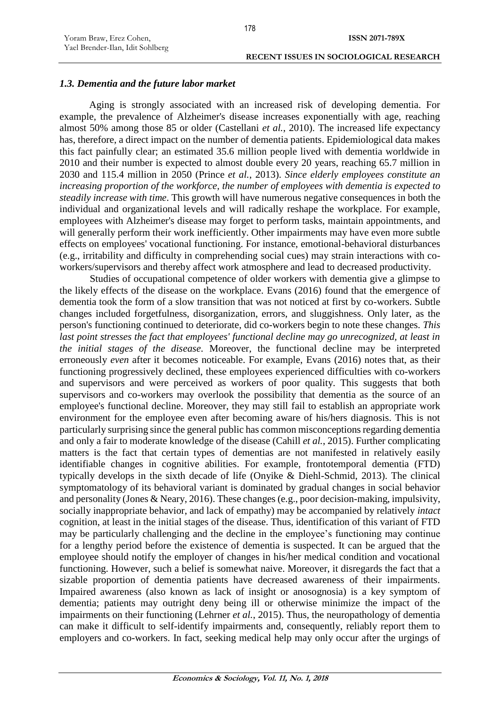#### *1.3. Dementia and the future labor market*

Aging is strongly associated with an increased risk of developing dementia. For example, the prevalence of Alzheimer's disease increases exponentially with age, reaching almost 50% among those 85 or older (Castellani *et al.*, 2010). The increased life expectancy has, therefore, a direct impact on the number of dementia patients. Epidemiological data makes this fact painfully clear; an estimated 35.6 million people lived with dementia worldwide in 2010 and their number is expected to almost double every 20 years, reaching 65.7 million in 2030 and 115.4 million in 2050 (Prince *et al.*, 2013). *Since elderly employees constitute an increasing proportion of the workforce, the number of employees with dementia is expected to steadily increase with time*. This growth will have numerous negative consequences in both the individual and organizational levels and will radically reshape the workplace. For example, employees with Alzheimer's disease may forget to perform tasks, maintain appointments, and will generally perform their work inefficiently. Other impairments may have even more subtle effects on employees' vocational functioning. For instance, emotional-behavioral disturbances (e.g., irritability and difficulty in comprehending social cues) may strain interactions with coworkers/supervisors and thereby affect work atmosphere and lead to decreased productivity.

Studies of occupational competence of older workers with dementia give a glimpse to the likely effects of the disease on the workplace. Evans (2016) found that the emergence of dementia took the form of a slow transition that was not noticed at first by co-workers. Subtle changes included forgetfulness, disorganization, errors, and sluggishness. Only later, as the person's functioning continued to deteriorate, did co-workers begin to note these changes. *This last point stresses the fact that employees' functional decline may go unrecognized, at least in the initial stages of the disease*. Moreover, the functional decline may be interpreted erroneously *even* after it becomes noticeable. For example, Evans (2016) notes that, as their functioning progressively declined, these employees experienced difficulties with co-workers and supervisors and were perceived as workers of poor quality. This suggests that both supervisors and co-workers may overlook the possibility that dementia as the source of an employee's functional decline. Moreover, they may still fail to establish an appropriate work environment for the employee even after becoming aware of his/hers diagnosis. This is not particularly surprising since the general public has common misconceptions regarding dementia and only a fair to moderate knowledge of the disease (Cahill *et al.*, 2015). Further complicating matters is the fact that certain types of dementias are not manifested in relatively easily identifiable changes in cognitive abilities. For example, frontotemporal dementia (FTD) typically develops in the sixth decade of life (Onyike & Diehl-Schmid, 2013). The clinical symptomatology of its behavioral variant is dominated by gradual changes in social behavior and personality (Jones & Neary, 2016). These changes (e.g., poor decision-making, impulsivity, socially inappropriate behavior, and lack of empathy) may be accompanied by relatively *intact* cognition, at least in the initial stages of the disease. Thus, identification of this variant of FTD may be particularly challenging and the decline in the employee's functioning may continue for a lengthy period before the existence of dementia is suspected. It can be argued that the employee should notify the employer of changes in his/her medical condition and vocational functioning. However, such a belief is somewhat naive. Moreover, it disregards the fact that a sizable proportion of dementia patients have decreased awareness of their impairments. Impaired awareness (also known as lack of insight or anosognosia) is a key symptom of dementia; patients may outright deny being ill or otherwise minimize the impact of the impairments on their functioning (Lehrner *et al.*, 2015). Thus, the neuropathology of dementia can make it difficult to self-identify impairments and, consequently, reliably report them to employers and co-workers. In fact, seeking medical help may only occur after the urgings of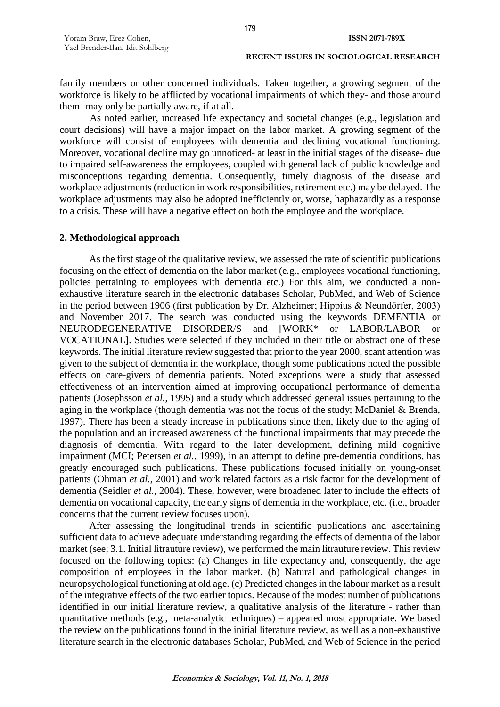family members or other concerned individuals. Taken together, a growing segment of the workforce is likely to be afflicted by vocational impairments of which they- and those around them- may only be partially aware, if at all.

As noted earlier, increased life expectancy and societal changes (e.g., legislation and court decisions) will have a major impact on the labor market. A growing segment of the workforce will consist of employees with dementia and declining vocational functioning. Moreover, vocational decline may go unnoticed- at least in the initial stages of the disease- due to impaired self-awareness the employees, coupled with general lack of public knowledge and misconceptions regarding dementia. Consequently, timely diagnosis of the disease and workplace adjustments (reduction in work responsibilities, retirement etc.) may be delayed. The workplace adjustments may also be adopted inefficiently or, worse, haphazardly as a response to a crisis. These will have a negative effect on both the employee and the workplace.

#### **2. Methodological approach**

As the first stage of the qualitative review, we assessed the rate of scientific publications focusing on the effect of dementia on the labor market (e.g., employees vocational functioning, policies pertaining to employees with dementia etc.) For this aim, we conducted a nonexhaustive literature search in the electronic databases Scholar, PubMed, and Web of Science in the period between 1906 (first publication by Dr. Alzheimer; Hippius & Neundörfer, 2003) and November 2017. The search was conducted using the keywords DEMENTIA or NEURODEGENERATIVE DISORDER/S and [WORK\* or LABOR/LABOR or VOCATIONAL]. Studies were selected if they included in their title or abstract one of these keywords. The initial literature review suggested that prior to the year 2000, scant attention was given to the subject of dementia in the workplace, though some publications noted the possible effects on care-givers of dementia patients. Noted exceptions were a study that assessed effectiveness of an intervention aimed at improving occupational performance of dementia patients (Josephsson *et al.*, 1995) and a study which addressed general issues pertaining to the aging in the workplace (though dementia was not the focus of the study; McDaniel & Brenda, 1997). There has been a steady increase in publications since then, likely due to the aging of the population and an increased awareness of the functional impairments that may precede the diagnosis of dementia. With regard to the later development, defining mild cognitive impairment (MCI; Petersen *et al.*, 1999), in an attempt to define pre-dementia conditions, has greatly encouraged such publications. These publications focused initially on young-onset patients (Ohman *et al.*, 2001) and work related factors as a risk factor for the development of dementia (Seidler *et al.*, 2004). These, however, were broadened later to include the effects of dementia on vocational capacity, the early signs of dementia in the workplace, etc. (i.e., broader concerns that the current review focuses upon).

After assessing the longitudinal trends in scientific publications and ascertaining sufficient data to achieve adequate understanding regarding the effects of dementia of the labor market (see; 3.1. Initial litrauture review), we performed the main litrauture review. This review focused on the following topics: (a) Changes in life expectancy and, consequently, the age composition of employees in the labor market. (b) Natural and pathological changes in neuropsychological functioning at old age. (c) Predicted changes in the labour market as a result of the integrative effects of the two earlier topics. Because of the modest number of publications identified in our initial literature review, a qualitative analysis of the literature - rather than quantitative methods (e.g., meta-analytic techniques) – appeared most appropriate. We based the review on the publications found in the initial literature review, as well as a non-exhaustive literature search in the electronic databases Scholar, PubMed, and Web of Science in the period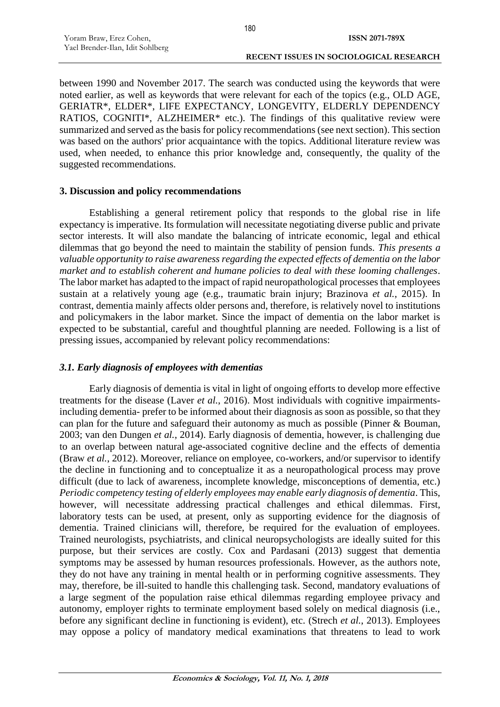between 1990 and November 2017. The search was conducted using the keywords that were noted earlier, as well as keywords that were relevant for each of the topics (e.g., OLD AGE, GERIATR\*, ELDER\*, LIFE EXPECTANCY, LONGEVITY, ELDERLY DEPENDENCY RATIOS, COGNITI\*, ALZHEIMER\* etc.). The findings of this qualitative review were summarized and served as the basis for policy recommendations (see next section). This section was based on the authors' prior acquaintance with the topics. Additional literature review was used, when needed, to enhance this prior knowledge and, consequently, the quality of the suggested recommendations.

#### **3. Discussion and policy recommendations**

Establishing a general retirement policy that responds to the global rise in life expectancy is imperative. Its formulation will necessitate negotiating diverse public and private sector interests. It will also mandate the balancing of intricate economic, legal and ethical dilemmas that go beyond the need to maintain the stability of pension funds. *This presents a valuable opportunity to raise awareness regarding the expected effects of dementia on the labor market and to establish coherent and humane policies to deal with these looming challenges*. The labor market has adapted to the impact of rapid neuropathological processes that employees sustain at a relatively young age (e.g., traumatic brain injury; Brazinova *et al.*, 2015). In contrast, dementia mainly affects older persons and, therefore, is relatively novel to institutions and policymakers in the labor market. Since the impact of dementia on the labor market is expected to be substantial, careful and thoughtful planning are needed. Following is a list of pressing issues, accompanied by relevant policy recommendations:

# *3.1. Early diagnosis of employees with dementias*

Early diagnosis of dementia is vital in light of ongoing efforts to develop more effective treatments for the disease (Laver *et al.*, 2016). Most individuals with cognitive impairmentsincluding dementia- prefer to be informed about their diagnosis as soon as possible, so that they can plan for the future and safeguard their autonomy as much as possible (Pinner & Bouman, 2003; van den Dungen *et al.*, 2014). Early diagnosis of dementia, however, is challenging due to an overlap between natural age-associated cognitive decline and the effects of dementia (Braw *et al.*, 2012). Moreover, reliance on employee, co-workers, and/or supervisor to identify the decline in functioning and to conceptualize it as a neuropathological process may prove difficult (due to lack of awareness, incomplete knowledge, misconceptions of dementia, etc.) *Periodic competency testing of elderly employees may enable early diagnosis of dementia*. This, however, will necessitate addressing practical challenges and ethical dilemmas. First, laboratory tests can be used, at present, only as supporting evidence for the diagnosis of dementia. Trained clinicians will, therefore, be required for the evaluation of employees. Trained neurologists, psychiatrists, and clinical neuropsychologists are ideally suited for this purpose, but their services are costly. Cox and Pardasani (2013) suggest that dementia symptoms may be assessed by human resources professionals. However, as the authors note, they do not have any training in mental health or in performing cognitive assessments. They may, therefore, be ill-suited to handle this challenging task. Second, mandatory evaluations of a large segment of the population raise ethical dilemmas regarding employee privacy and autonomy, employer rights to terminate employment based solely on medical diagnosis (i.e., before any significant decline in functioning is evident), etc. (Strech *et al.*, 2013). Employees may oppose a policy of mandatory medical examinations that threatens to lead to work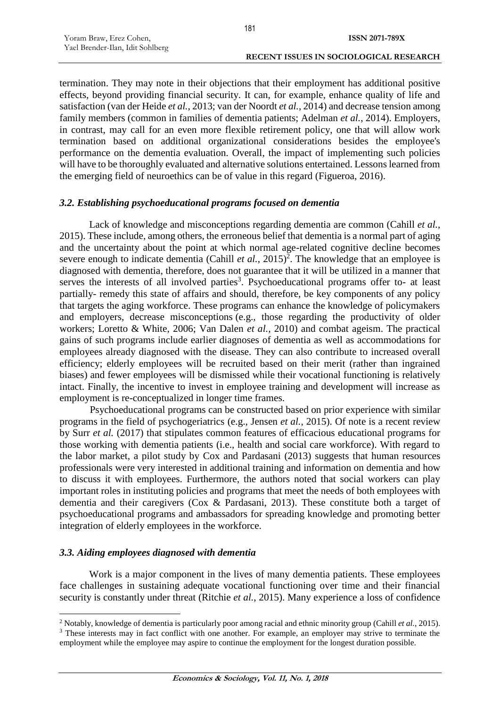termination. They may note in their objections that their employment has additional positive effects, beyond providing financial security. It can, for example, enhance quality of life and satisfaction (van der Heide *et al.*, 2013; van der Noordt *et al.*, 2014) and decrease tension among family members (common in families of dementia patients; Adelman *et al.*, 2014). Employers, in contrast, may call for an even more flexible retirement policy, one that will allow work termination based on additional organizational considerations besides the employee's performance on the dementia evaluation. Overall, the impact of implementing such policies will have to be thoroughly evaluated and alternative solutions entertained. Lessons learned from the emerging field of neuroethics can be of value in this regard (Figueroa, 2016).

#### *3.2. Establishing psychoeducational programs focused on dementia*

Lack of knowledge and misconceptions regarding dementia are common (Cahill *et al.*, 2015). These include, among others, the erroneous belief that dementia is a normal part of aging and the uncertainty about the point at which normal age-related cognitive decline becomes severe enough to indicate dementia (Cahill *et al.*,  $2015)^2$ . The knowledge that an employee is diagnosed with dementia, therefore, does not guarantee that it will be utilized in a manner that serves the interests of all involved parties<sup>3</sup>. Psychoeducational programs offer to- at least partially- remedy this state of affairs and should, therefore, be key components of any policy that targets the aging workforce. These programs can enhance the knowledge of policymakers and employers, decrease misconceptions (e.g., those regarding the productivity of older workers; Loretto & White, 2006; Van Dalen *et al.*, 2010) and combat ageism. The practical gains of such programs include earlier diagnoses of dementia as well as accommodations for employees already diagnosed with the disease. They can also contribute to increased overall efficiency; elderly employees will be recruited based on their merit (rather than ingrained biases) and fewer employees will be dismissed while their vocational functioning is relatively intact. Finally, the incentive to invest in employee training and development will increase as employment is re-conceptualized in longer time frames.

Psychoeducational programs can be constructed based on prior experience with similar programs in the field of psychogeriatrics (e.g., Jensen *et al.*, 2015). Of note is a recent review by Surr *et al.* (2017) that stipulates common features of efficacious educational programs for those working with dementia patients (i.e., health and social care workforce). With regard to the labor market, a pilot study by Cox and Pardasani (2013) suggests that human resources professionals were very interested in additional training and information on dementia and how to discuss it with employees. Furthermore, the authors noted that social workers can play important roles in instituting policies and programs that meet the needs of both employees with dementia and their caregivers (Cox & Pardasani, 2013). These constitute both a target of psychoeducational programs and ambassadors for spreading knowledge and promoting better integration of elderly employees in the workforce.

# *3.3. Aiding employees diagnosed with dementia*

 $\overline{a}$ 

Work is a major component in the lives of many dementia patients. These employees face challenges in sustaining adequate vocational functioning over time and their financial security is constantly under threat (Ritchie *et al.*, 2015). Many experience a loss of confidence

<sup>2</sup> Notably, knowledge of dementia is particularly poor among racial and ethnic minority group (Cahill *et al.*, 2015). <sup>3</sup> These interests may in fact conflict with one another. For example, an employer may strive to terminate the employment while the employee may aspire to continue the employment for the longest duration possible.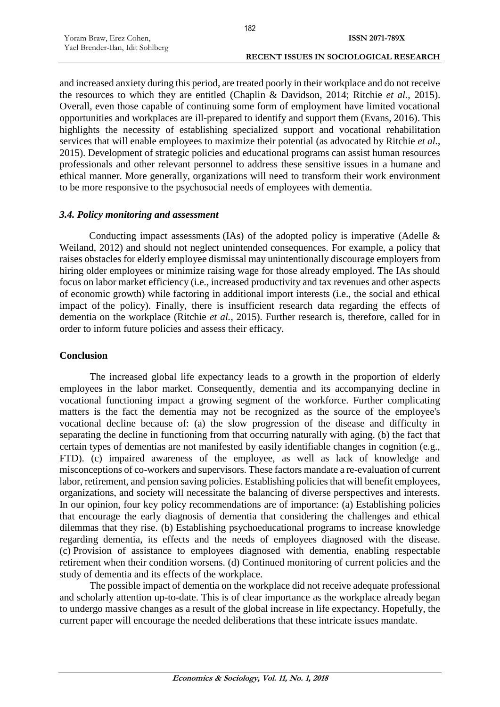and increased anxiety during this period, are treated poorly in their workplace and do not receive the resources to which they are entitled (Chaplin & Davidson, 2014; Ritchie *et al.*, 2015). Overall, even those capable of continuing some form of employment have limited vocational opportunities and workplaces are ill-prepared to identify and support them (Evans, 2016). This highlights the necessity of establishing specialized support and vocational rehabilitation services that will enable employees to maximize their potential (as advocated by Ritchie *et al.*, 2015). Development of strategic policies and educational programs can assist human resources professionals and other relevant personnel to address these sensitive issues in a humane and ethical manner. More generally, organizations will need to transform their work environment to be more responsive to the psychosocial needs of employees with dementia.

#### *3.4. Policy monitoring and assessment*

Conducting impact assessments (IAs) of the adopted policy is imperative (Adelle  $\&$ Weiland, 2012) and should not neglect unintended consequences. For example, a policy that raises obstacles for elderly employee dismissal may unintentionally discourage employers from hiring older employees or minimize raising wage for those already employed. The IAs should focus on labor market efficiency (i.e., increased productivity and tax revenues and other aspects of economic growth) while factoring in additional import interests (i.e., the social and ethical impact of the policy). Finally, there is insufficient research data regarding the effects of dementia on the workplace (Ritchie *et al.*, 2015). Further research is, therefore, called for in order to inform future policies and assess their efficacy.

# **Conclusion**

The increased global life expectancy leads to a growth in the proportion of elderly employees in the labor market. Consequently, dementia and its accompanying decline in vocational functioning impact a growing segment of the workforce. Further complicating matters is the fact the dementia may not be recognized as the source of the employee's vocational decline because of: (a) the slow progression of the disease and difficulty in separating the decline in functioning from that occurring naturally with aging. (b) the fact that certain types of dementias are not manifested by easily identifiable changes in cognition (e.g., FTD). (c) impaired awareness of the employee, as well as lack of knowledge and misconceptions of co-workers and supervisors. These factors mandate a re-evaluation of current labor, retirement, and pension saving policies. Establishing policies that will benefit employees, organizations, and society will necessitate the balancing of diverse perspectives and interests. In our opinion, four key policy recommendations are of importance: (a) Establishing policies that encourage the early diagnosis of dementia that considering the challenges and ethical dilemmas that they rise. (b) Establishing psychoeducational programs to increase knowledge regarding dementia, its effects and the needs of employees diagnosed with the disease. (c) Provision of assistance to employees diagnosed with dementia, enabling respectable retirement when their condition worsens. (d) Continued monitoring of current policies and the study of dementia and its effects of the workplace.

The possible impact of dementia on the workplace did not receive adequate professional and scholarly attention up-to-date. This is of clear importance as the workplace already began to undergo massive changes as a result of the global increase in life expectancy. Hopefully, the current paper will encourage the needed deliberations that these intricate issues mandate.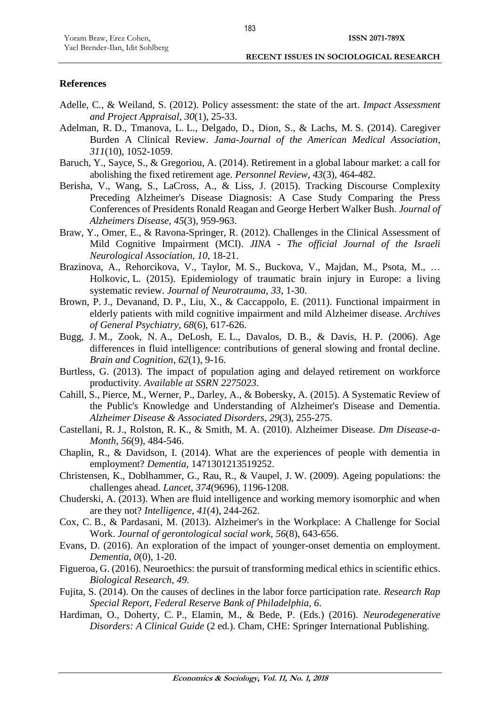#### **References**

- Adelle, C., & Weiland, S. (2012). Policy assessment: the state of the art. *Impact Assessment and Project Appraisal*, *30*(1), 25-33.
- Adelman, R. D., Tmanova, L. L., Delgado, D., Dion, S., & Lachs, M. S. (2014). Caregiver Burden A Clinical Review. *Jama-Journal of the American Medical Association*, *311*(10), 1052-1059.
- Baruch, Y., Sayce, S., & Gregoriou, A. (2014). Retirement in a global labour market: a call for abolishing the fixed retirement age. *Personnel Review*, *43*(3), 464-482.
- Berisha, V., Wang, S., LaCross, A., & Liss, J. (2015). Tracking Discourse Complexity Preceding Alzheimer's Disease Diagnosis: A Case Study Comparing the Press Conferences of Presidents Ronald Reagan and George Herbert Walker Bush. *Journal of Alzheimers Disease*, *45*(3), 959-963.
- Braw, Y., Omer, E., & Ravona-Springer, R. (2012). Challenges in the Clinical Assessment of Mild Cognitive Impairment (MCI). *JINA - The official Journal of the Israeli Neurological Association*, *10*, 18-21.
- Brazinova, A., Rehorcikova, V., Taylor, M. S., Buckova, V., Majdan, M., Psota, M., … Holkovic, L. (2015). Epidemiology of traumatic brain injury in Europe: a living systematic review. *Journal of Neurotrauma*, *33*, 1-30.
- Brown, P. J., Devanand, D. P., Liu, X., & Caccappolo, E. (2011). Functional impairment in elderly patients with mild cognitive impairment and mild Alzheimer disease. *Archives of General Psychiatry*, *68*(6), 617-626.
- Bugg, J. M., Zook, N. A., DeLosh, E. L., Davalos, D. B., & Davis, H. P. (2006). Age differences in fluid intelligence: contributions of general slowing and frontal decline. *Brain and Cognition*, *62*(1), 9-16.
- Burtless, G. (2013). The impact of population aging and delayed retirement on workforce productivity. *Available at SSRN 2275023*.
- Cahill, S., Pierce, M., Werner, P., Darley, A., & Bobersky, A. (2015). A Systematic Review of the Public's Knowledge and Understanding of Alzheimer's Disease and Dementia. *Alzheimer Disease & Associated Disorders*, *29*(3), 255-275.
- Castellani, R. J., Rolston, R. K., & Smith, M. A. (2010). Alzheimer Disease. *Dm Disease-a-Month*, *56*(9), 484-546.
- Chaplin, R., & Davidson, I. (2014). What are the experiences of people with dementia in employment? *Dementia*, 1471301213519252.
- Christensen, K., Doblhammer, G., Rau, R., & Vaupel, J. W. (2009). Ageing populations: the challenges ahead. *Lancet*, *374*(9696), 1196-1208.
- Chuderski, A. (2013). When are fluid intelligence and working memory isomorphic and when are they not? *Intelligence*, *41*(4), 244-262.
- Cox, C. B., & Pardasani, M. (2013). Alzheimer's in the Workplace: A Challenge for Social Work. *Journal of gerontological social work*, *56*(8), 643-656.
- Evans, D. (2016). An exploration of the impact of younger-onset dementia on employment. *Dementia*, *0*(0), 1-20.
- Figueroa, G. (2016). Neuroethics: the pursuit of transforming medical ethics in scientific ethics. *Biological Research*, *49*.
- Fujita, S. (2014). On the causes of declines in the labor force participation rate. *Research Rap Special Report, Federal Reserve Bank of Philadelphia*, *6*.
- Hardiman, O., Doherty, C. P., Elamin, M., & Bede, P. (Eds.) (2016). *Neurodegenerative Disorders: A Clinical Guide* (2 ed.). Cham, CHE: Springer International Publishing.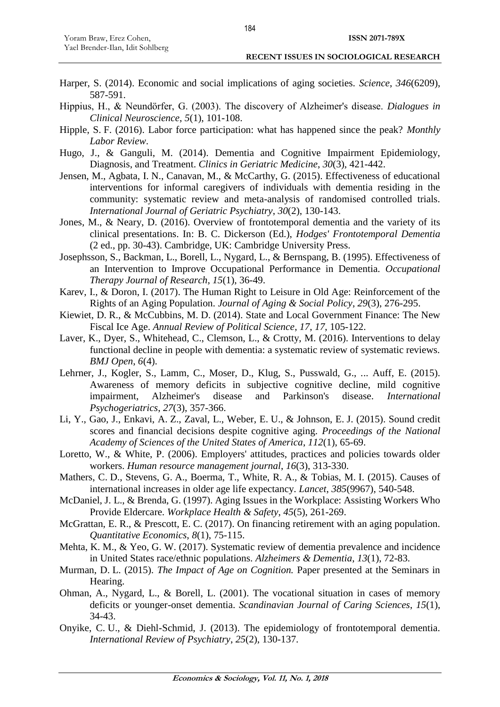- Harper, S. (2014). Economic and social implications of aging societies. *Science*, *346*(6209), 587-591.
- Hippius, H., & Neundörfer, G. (2003). The discovery of Alzheimer's disease. *Dialogues in Clinical Neuroscience*, *5*(1), 101-108.
- Hipple, S. F. (2016). Labor force participation: what has happened since the peak? *Monthly Labor Review*.
- Hugo, J., & Ganguli, M. (2014). Dementia and Cognitive Impairment Epidemiology, Diagnosis, and Treatment. *Clinics in Geriatric Medicine*, *30*(3), 421-442.
- Jensen, M., Agbata, I. N., Canavan, M., & McCarthy, G. (2015). Effectiveness of educational interventions for informal caregivers of individuals with dementia residing in the community: systematic review and meta-analysis of randomised controlled trials. *International Journal of Geriatric Psychiatry*, *30*(2), 130-143.
- Jones, M., & Neary, D. (2016). Overview of frontotemporal dementia and the variety of its clinical presentations. In: B. C. Dickerson (Ed.), *Hodges' Frontotemporal Dementia* (2 ed., pp. 30-43). Cambridge, UK: Cambridge University Press.
- Josephsson, S., Backman, L., Borell, L., Nygard, L., & Bernspang, B. (1995). Effectiveness of an Intervention to Improve Occupational Performance in Dementia. *Occupational Therapy Journal of Research*, *15*(1), 36-49.
- Karev, I., & Doron, I. (2017). The Human Right to Leisure in Old Age: Reinforcement of the Rights of an Aging Population. *Journal of Aging & Social Policy*, *29*(3), 276-295.
- Kiewiet, D. R., & McCubbins, M. D. (2014). State and Local Government Finance: The New Fiscal Ice Age. *Annual Review of Political Science*, *17*, *17*, 105-122.
- Laver, K., Dyer, S., Whitehead, C., Clemson, L., & Crotty, M. (2016). Interventions to delay functional decline in people with dementia: a systematic review of systematic reviews. *BMJ Open*, *6*(4).
- Lehrner, J., Kogler, S., Lamm, C., Moser, D., Klug, S., Pusswald, G., ... Auff, E. (2015). Awareness of memory deficits in subjective cognitive decline, mild cognitive impairment, Alzheimer's disease and Parkinson's disease. *International Psychogeriatrics*, *27*(3), 357-366.
- Li, Y., Gao, J., Enkavi, A. Z., Zaval, L., Weber, E. U., & Johnson, E. J. (2015). Sound credit scores and financial decisions despite cognitive aging. *Proceedings of the National Academy of Sciences of the United States of America*, *112*(1), 65-69.
- Loretto, W., & White, P. (2006). Employers' attitudes, practices and policies towards older workers. *Human resource management journal*, *16*(3), 313-330.
- Mathers, C. D., Stevens, G. A., Boerma, T., White, R. A., & Tobias, M. I. (2015). Causes of international increases in older age life expectancy. *Lancet*, *385*(9967), 540-548.
- McDaniel, J. L., & Brenda, G. (1997). Aging Issues in the Workplace: Assisting Workers Who Provide Eldercare. *Workplace Health & Safety*, *45*(5), 261-269.
- McGrattan, E. R., & Prescott, E. C. (2017). On financing retirement with an aging population. *Quantitative Economics*, *8*(1), 75-115.
- Mehta, K. M., & Yeo, G. W. (2017). Systematic review of dementia prevalence and incidence in United States race/ethnic populations. *Alzheimers & Dementia*, *13*(1), 72-83.
- Murman, D. L. (2015). *The Impact of Age on Cognition.* Paper presented at the Seminars in Hearing.
- Ohman, A., Nygard, L., & Borell, L. (2001). The vocational situation in cases of memory deficits or younger-onset dementia. *Scandinavian Journal of Caring Sciences*, *15*(1), 34-43.
- Onyike, C. U., & Diehl-Schmid, J. (2013). The epidemiology of frontotemporal dementia. *International Review of Psychiatry*, *25*(2), 130-137.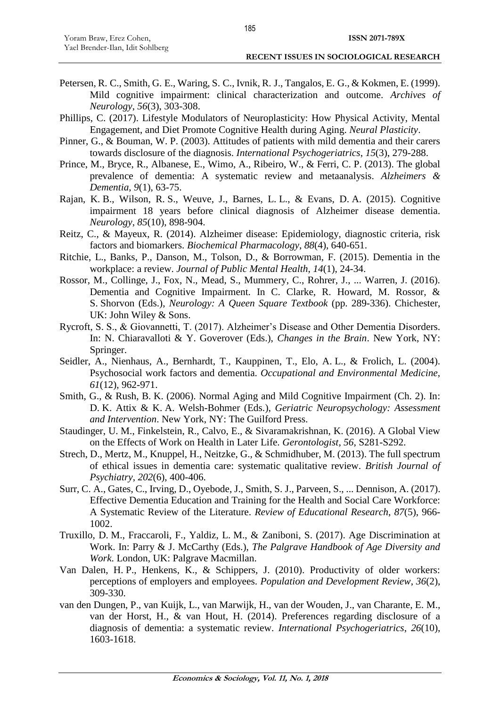- Petersen, R. C., Smith, G. E., Waring, S. C., Ivnik, R. J., Tangalos, E. G., & Kokmen, E. (1999). Mild cognitive impairment: clinical characterization and outcome. *Archives of Neurology*, *56*(3), 303-308.
- Phillips, C. (2017). Lifestyle Modulators of Neuroplasticity: How Physical Activity, Mental Engagement, and Diet Promote Cognitive Health during Aging. *Neural Plasticity*.
- Pinner, G., & Bouman, W. P. (2003). Attitudes of patients with mild dementia and their carers towards disclosure of the diagnosis. *International Psychogeriatrics*, *15*(3), 279-288.
- Prince, M., Bryce, R., Albanese, E., Wimo, A., Ribeiro, W., & Ferri, C. P. (2013). The global prevalence of dementia: A systematic review and metaanalysis. *Alzheimers & Dementia*, *9*(1), 63-75.
- Rajan, K. B., Wilson, R. S., Weuve, J., Barnes, L. L., & Evans, D. A. (2015). Cognitive impairment 18 years before clinical diagnosis of Alzheimer disease dementia. *Neurology*, *85*(10), 898-904.
- Reitz, C., & Mayeux, R. (2014). Alzheimer disease: Epidemiology, diagnostic criteria, risk factors and biomarkers. *Biochemical Pharmacology*, *88*(4), 640-651.
- Ritchie, L., Banks, P., Danson, M., Tolson, D., & Borrowman, F. (2015). Dementia in the workplace: a review. *Journal of Public Mental Health*, *14*(1), 24-34.
- Rossor, M., Collinge, J., Fox, N., Mead, S., Mummery, C., Rohrer, J., ... Warren, J. (2016). Dementia and Cognitive Impairment. In C. Clarke, R. Howard, M. Rossor, & S. Shorvon (Eds.), *Neurology: A Queen Square Textbook* (pp. 289-336). Chichester, UK: John Wiley & Sons.
- Rycroft, S. S., & Giovannetti, T. (2017). Alzheimer's Disease and Other Dementia Disorders. In: N. Chiaravalloti & Y. Goverover (Eds.), *Changes in the Brain*. New York, NY: Springer.
- Seidler, A., Nienhaus, A., Bernhardt, T., Kauppinen, T., Elo, A. L., & Frolich, L. (2004). Psychosocial work factors and dementia. *Occupational and Environmental Medicine*, *61*(12), 962-971.
- Smith, G., & Rush, B. K. (2006). Normal Aging and Mild Cognitive Impairment (Ch. 2). In: D. K. Attix & K. A. Welsh-Bohmer (Eds.), *Geriatric Neuropsychology: Assessment and Intervention*. New York, NY: The Guilford Press.
- Staudinger, U. M., Finkelstein, R., Calvo, E., & Sivaramakrishnan, K. (2016). A Global View on the Effects of Work on Health in Later Life. *Gerontologist*, *56*, S281-S292.
- Strech, D., Mertz, M., Knuppel, H., Neitzke, G., & Schmidhuber, M. (2013). The full spectrum of ethical issues in dementia care: systematic qualitative review. *British Journal of Psychiatry*, *202*(6), 400-406.
- Surr, C. A., Gates, C., Irving, D., Oyebode, J., Smith, S. J., Parveen, S., ... Dennison, A. (2017). Effective Dementia Education and Training for the Health and Social Care Workforce: A Systematic Review of the Literature. *Review of Educational Research*, *87*(5), 966- 1002.
- Truxillo, D. M., Fraccaroli, F., Yaldiz, L. M., & Zaniboni, S. (2017). Age Discrimination at Work. In: Parry & J. McCarthy (Eds.), *The Palgrave Handbook of Age Diversity and Work*. London, UK: Palgrave Macmillan.
- Van Dalen, H. P., Henkens, K., & Schippers, J. (2010). Productivity of older workers: perceptions of employers and employees. *Population and Development Review*, *36*(2), 309-330.
- van den Dungen, P., van Kuijk, L., van Marwijk, H., van der Wouden, J., van Charante, E. M., van der Horst, H., & van Hout, H. (2014). Preferences regarding disclosure of a diagnosis of dementia: a systematic review. *International Psychogeriatrics*, *26*(10), 1603-1618.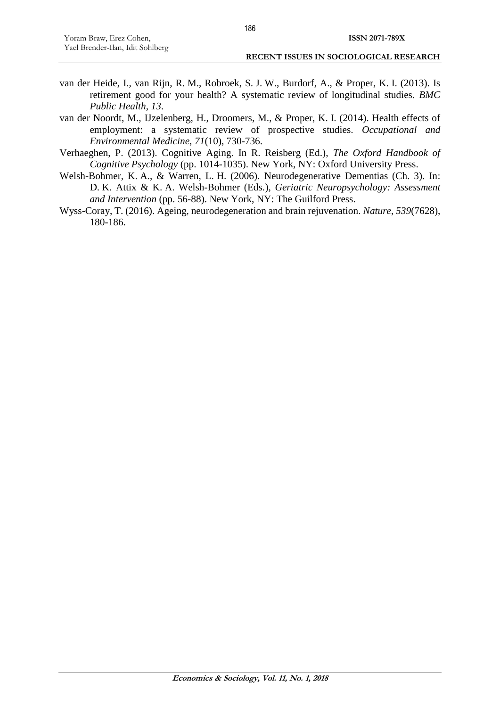- van der Heide, I., van Rijn, R. M., Robroek, S. J. W., Burdorf, A., & Proper, K. I. (2013). Is retirement good for your health? A systematic review of longitudinal studies. *BMC Public Health*, *13*.
- van der Noordt, M., IJzelenberg, H., Droomers, M., & Proper, K. I. (2014). Health effects of employment: a systematic review of prospective studies. *Occupational and Environmental Medicine*, *71*(10), 730-736.
- Verhaeghen, P. (2013). Cognitive Aging. In R. Reisberg (Ed.), *The Oxford Handbook of Cognitive Psychology* (pp. 1014-1035). New York, NY: Oxford University Press.
- Welsh-Bohmer, K. A., & Warren, L. H. (2006). Neurodegenerative Dementias (Ch. 3). In: D. K. Attix & K. A. Welsh-Bohmer (Eds.), *Geriatric Neuropsychology: Assessment and Intervention* (pp. 56-88). New York, NY: The Guilford Press.
- Wyss-Coray, T. (2016). Ageing, neurodegeneration and brain rejuvenation. *Nature*, *539*(7628), 180-186.